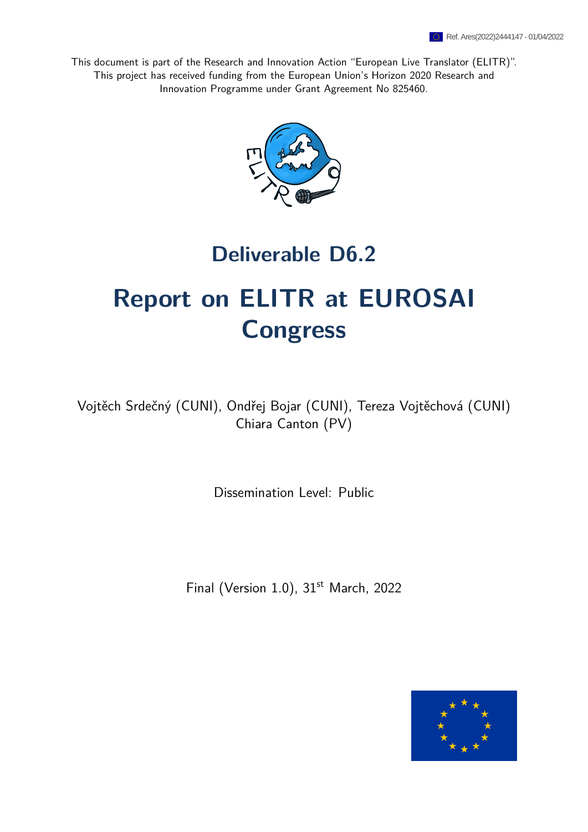This document is part of the Research and Innovation Action "European Live Translator (ELITR)". This project has received funding from the European Union's Horizon 2020 Research and Innovation Programme under Grant Agreement No 825460.



## **Deliverable D6.2**

# **Report on ELITR at EUROSAI Congress**

Vojtěch Srdečný (CUNI), Ondřej Bojar (CUNI), Tereza Vojtěchová (CUNI) Chiara Canton (PV)

Dissemination Level: Public

Final (Version 1.0), 31<sup>st</sup> March, 2022

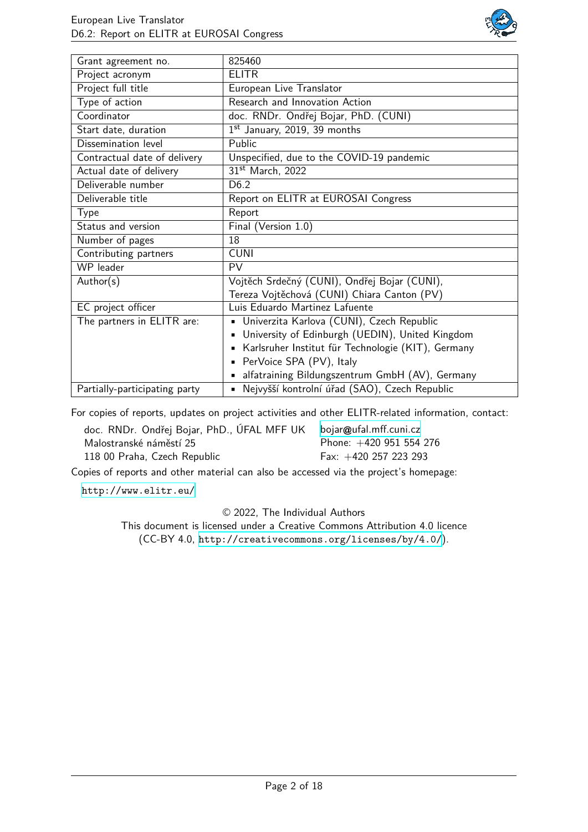

| Grant agreement no.           | 825460                                                            |  |
|-------------------------------|-------------------------------------------------------------------|--|
| Project acronym               | <b>ELITR</b>                                                      |  |
| Project full title            | European Live Translator                                          |  |
| Type of action                | Research and Innovation Action                                    |  |
| Coordinator                   | doc. RNDr. Ondřej Bojar, PhD. (CUNI)                              |  |
| Start date, duration          | 1st January, 2019, 39 months                                      |  |
| Dissemination level           | Public                                                            |  |
| Contractual date of delivery  | Unspecified, due to the COVID-19 pandemic                         |  |
| Actual date of delivery       | 31st March, 2022                                                  |  |
| Deliverable number            | D <sub>6.2</sub>                                                  |  |
| Deliverable title             | Report on ELITR at EUROSAI Congress                               |  |
| Type                          | Report                                                            |  |
| Status and version            | Final (Version 1.0)                                               |  |
| Number of pages               | 18                                                                |  |
| Contributing partners         | <b>CUNI</b>                                                       |  |
| WP leader                     | <b>PV</b>                                                         |  |
| Author(s)                     | Vojtěch Srdečný (CUNI), Ondřej Bojar (CUNI),                      |  |
|                               | Tereza Vojtěchová (CUNI) Chiara Canton (PV)                       |  |
| EC project officer            | Luis Eduardo Martinez Lafuente                                    |  |
| The partners in ELITR are:    | Univerzita Karlova (CUNI), Czech Republic<br>٠                    |  |
|                               | University of Edinburgh (UEDIN), United Kingdom<br>$\blacksquare$ |  |
|                               | Karlsruher Institut für Technologie (KIT), Germany<br>٠           |  |
|                               | PerVoice SPA (PV), Italy<br>٠                                     |  |
|                               | alfatraining Bildungszentrum GmbH (AV), Germany<br>٠              |  |
| Partially-participating party | Nejvyšší kontrolní úřad (SAO), Czech Republic                     |  |

For copies of reports, updates on project activities and other ELITR-related information, contact:

| doc. RNDr. Ondřej Bojar, PhD., ÚFAL MFF UK | bojar@ufal.mff.cuni.cz    |
|--------------------------------------------|---------------------------|
| Malostranské náměstí 25                    | Phone: $+420$ 951 554 276 |
| 118 00 Praha, Czech Republic               | Fax: $+420$ 257 223 293   |

Copies of reports and other material can also be accessed via the project's homepage:

<http://www.elitr.eu/>

© 2022, The Individual Authors

This document is licensed under a Creative Commons Attribution 4.0 licence (CC-BY 4.0, <http://creativecommons.org/licenses/by/4.0/>).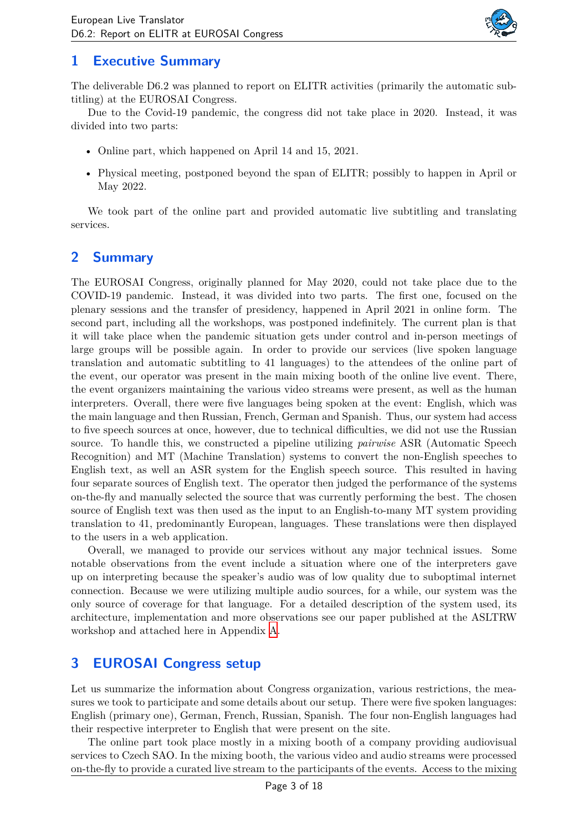

### **1 Executive Summary**

The deliverable D6.2 was planned to report on ELITR activities (primarily the automatic subtitling) at the EUROSAI Congress.

Due to the Covid-19 pandemic, the congress did not take place in 2020. Instead, it was divided into two parts:

- Online part, which happened on April 14 and 15, 2021.
- Physical meeting, postponed beyond the span of ELITR; possibly to happen in April or May 2022.

We took part of the online part and provided automatic live subtitling and translating services.

### **2 Summary**

The EUROSAI Congress, originally planned for May 2020, could not take place due to the COVID-19 pandemic. Instead, it was divided into two parts. The first one, focused on the plenary sessions and the transfer of presidency, happened in April 2021 in online form. The second part, including all the workshops, was postponed indefinitely. The current plan is that it will take place when the pandemic situation gets under control and in-person meetings of large groups will be possible again. In order to provide our services (live spoken language translation and automatic subtitling to 41 languages) to the attendees of the online part of the event, our operator was present in the main mixing booth of the online live event. There, the event organizers maintaining the various video streams were present, as well as the human interpreters. Overall, there were five languages being spoken at the event: English, which was the main language and then Russian, French, German and Spanish. Thus, our system had access to five speech sources at once, however, due to technical difficulties, we did not use the Russian source. To handle this, we constructed a pipeline utilizing *pairwise* ASR (Automatic Speech Recognition) and MT (Machine Translation) systems to convert the non-English speeches to English text, as well an ASR system for the English speech source. This resulted in having four separate sources of English text. The operator then judged the performance of the systems on-the-fly and manually selected the source that was currently performing the best. The chosen source of English text was then used as the input to an English-to-many MT system providing translation to 41, predominantly European, languages. These translations were then displayed to the users in a web application.

Overall, we managed to provide our services without any major technical issues. Some notable observations from the event include a situation where one of the interpreters gave up on interpreting because the speaker's audio was of low quality due to suboptimal internet connection. Because we were utilizing multiple audio sources, for a while, our system was the only source of coverage for that language. For a detailed description of the system used, its architecture, implementation and more observations see our paper published at the ASLTRW workshop and attached here in Appendix [A.](#page-6-0)

#### **3 EUROSAI Congress setup**

Let us summarize the information about Congress organization, various restrictions, the measures we took to participate and some details about our setup. There were five spoken languages: English (primary one), German, French, Russian, Spanish. The four non-English languages had their respective interpreter to English that were present on the site.

The online part took place mostly in a mixing booth of a company providing audiovisual services to Czech SAO. In the mixing booth, the various video and audio streams were processed on-the-fly to provide a curated live stream to the participants of the events. Access to the mixing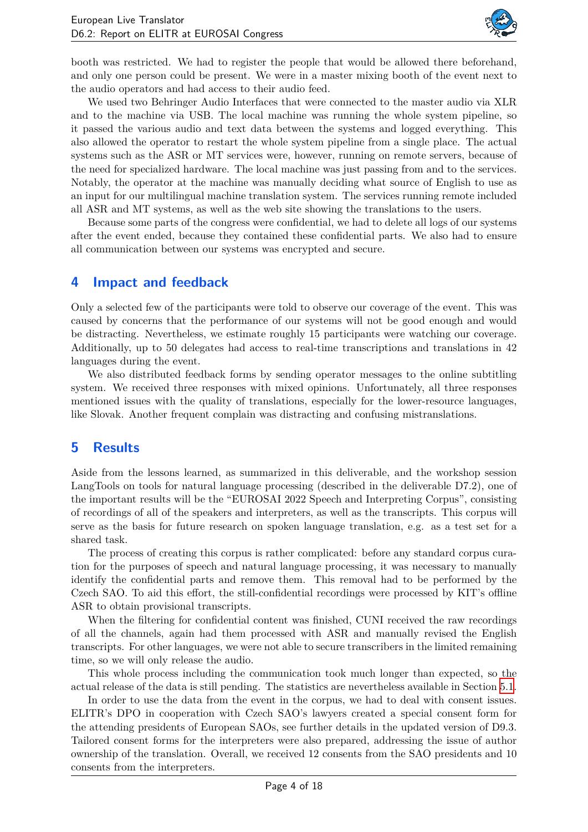

booth was restricted. We had to register the people that would be allowed there beforehand, and only one person could be present. We were in a master mixing booth of the event next to the audio operators and had access to their audio feed.

We used two Behringer Audio Interfaces that were connected to the master audio via XLR and to the machine via USB. The local machine was running the whole system pipeline, so it passed the various audio and text data between the systems and logged everything. This also allowed the operator to restart the whole system pipeline from a single place. The actual systems such as the ASR or MT services were, however, running on remote servers, because of the need for specialized hardware. The local machine was just passing from and to the services. Notably, the operator at the machine was manually deciding what source of English to use as an input for our multilingual machine translation system. The services running remote included all ASR and MT systems, as well as the web site showing the translations to the users.

Because some parts of the congress were confidential, we had to delete all logs of our systems after the event ended, because they contained these confidential parts. We also had to ensure all communication between our systems was encrypted and secure.

#### <span id="page-3-0"></span>**4 Impact and feedback**

Only a selected few of the participants were told to observe our coverage of the event. This was caused by concerns that the performance of our systems will not be good enough and would be distracting. Nevertheless, we estimate roughly 15 participants were watching our coverage. Additionally, up to 50 delegates had access to real-time transcriptions and translations in 42 languages during the event.

We also distributed feedback forms by sending operator messages to the online subtitling system. We received three responses with mixed opinions. Unfortunately, all three responses mentioned issues with the quality of translations, especially for the lower-resource languages, like Slovak. Another frequent complain was distracting and confusing mistranslations.

#### **5 Results**

Aside from the lessons learned, as summarized in this deliverable, and the workshop session LangTools on tools for natural language processing (described in the deliverable D7.2), one of the important results will be the "EUROSAI 2022 Speech and Interpreting Corpus", consisting of recordings of all of the speakers and interpreters, as well as the transcripts. This corpus will serve as the basis for future research on spoken language translation, e.g. as a test set for a shared task.

The process of creating this corpus is rather complicated: before any standard corpus curation for the purposes of speech and natural language processing, it was necessary to manually identify the confidential parts and remove them. This removal had to be performed by the Czech SAO. To aid this effort, the still-confidential recordings were processed by KIT's offline ASR to obtain provisional transcripts.

When the filtering for confidential content was finished, CUNI received the raw recordings of all the channels, again had them processed with ASR and manually revised the English transcripts. For other languages, we were not able to secure transcribers in the limited remaining time, so we will only release the audio.

This whole process including the communication took much longer than expected, so the actual release of the data is still pending. The statistics are nevertheless available in Section [5.1](#page-4-0).

In order to use the data from the event in the corpus, we had to deal with consent issues. ELITR's DPO in cooperation with Czech SAO's lawyers created a special consent form for the attending presidents of European SAOs, see further details in the updated version of D9.3. Tailored consent forms for the interpreters were also prepared, addressing the issue of author ownership of the translation. Overall, we received 12 consents from the SAO presidents and 10 consents from the interpreters.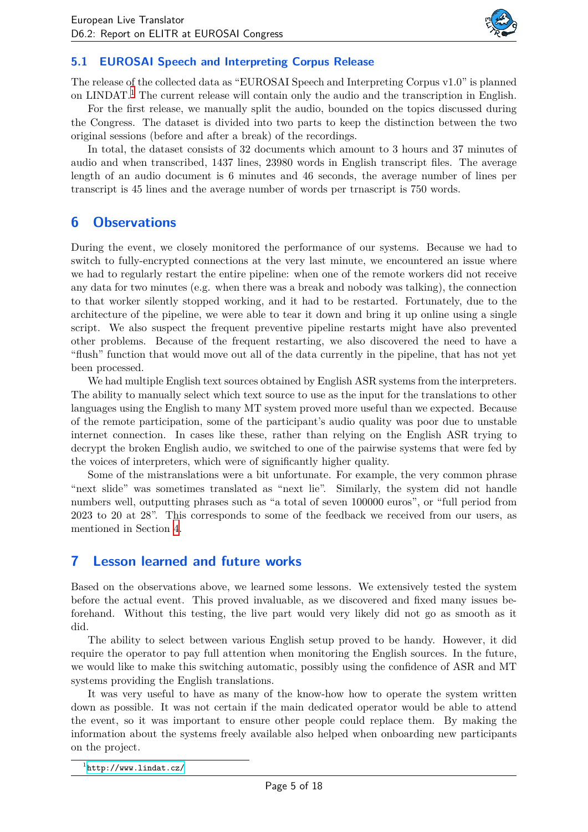

#### <span id="page-4-0"></span>**5.1 EUROSAI Speech and Interpreting Corpus Release**

The release of the collected data as "EUROSAI Speech and Interpreting Corpus v1.0" is planned on LINDAT.<sup>[1](#page-4-1)</sup> The current release will contain only the audio and the transcription in English.

For the first release, we manually split the audio, bounded on the topics discussed during the Congress. The dataset is divided into two parts to keep the distinction between the two original sessions (before and after a break) of the recordings.

In total, the dataset consists of 32 documents which amount to 3 hours and 37 minutes of audio and when transcribed, 1437 lines, 23980 words in English transcript files. The average length of an audio document is 6 minutes and 46 seconds, the average number of lines per transcript is 45 lines and the average number of words per trnascript is 750 words.

#### **6 Observations**

During the event, we closely monitored the performance of our systems. Because we had to switch to fully-encrypted connections at the very last minute, we encountered an issue where we had to regularly restart the entire pipeline: when one of the remote workers did not receive any data for two minutes (e.g. when there was a break and nobody was talking), the connection to that worker silently stopped working, and it had to be restarted. Fortunately, due to the architecture of the pipeline, we were able to tear it down and bring it up online using a single script. We also suspect the frequent preventive pipeline restarts might have also prevented other problems. Because of the frequent restarting, we also discovered the need to have a "flush" function that would move out all of the data currently in the pipeline, that has not yet been processed.

We had multiple English text sources obtained by English ASR systems from the interpreters. The ability to manually select which text source to use as the input for the translations to other languages using the English to many MT system proved more useful than we expected. Because of the remote participation, some of the participant's audio quality was poor due to unstable internet connection. In cases like these, rather than relying on the English ASR trying to decrypt the broken English audio, we switched to one of the pairwise systems that were fed by the voices of interpreters, which were of significantly higher quality.

Some of the mistranslations were a bit unfortunate. For example, the very common phrase "next slide" was sometimes translated as "next lie". Similarly, the system did not handle numbers well, outputting phrases such as "a total of seven 100000 euros", or "full period from 2023 to 20 at 28". This corresponds to some of the feedback we received from our users, as mentioned in Section [4](#page-3-0).

#### **7 Lesson learned and future works**

Based on the observations above, we learned some lessons. We extensively tested the system before the actual event. This proved invaluable, as we discovered and fixed many issues beforehand. Without this testing, the live part would very likely did not go as smooth as it did.

The ability to select between various English setup proved to be handy. However, it did require the operator to pay full attention when monitoring the English sources. In the future, we would like to make this switching automatic, possibly using the confidence of ASR and MT systems providing the English translations.

It was very useful to have as many of the know-how how to operate the system written down as possible. It was not certain if the main dedicated operator would be able to attend the event, so it was important to ensure other people could replace them. By making the information about the systems freely available also helped when onboarding new participants on the project.

<span id="page-4-1"></span><sup>1</sup> <http://www.lindat.cz/>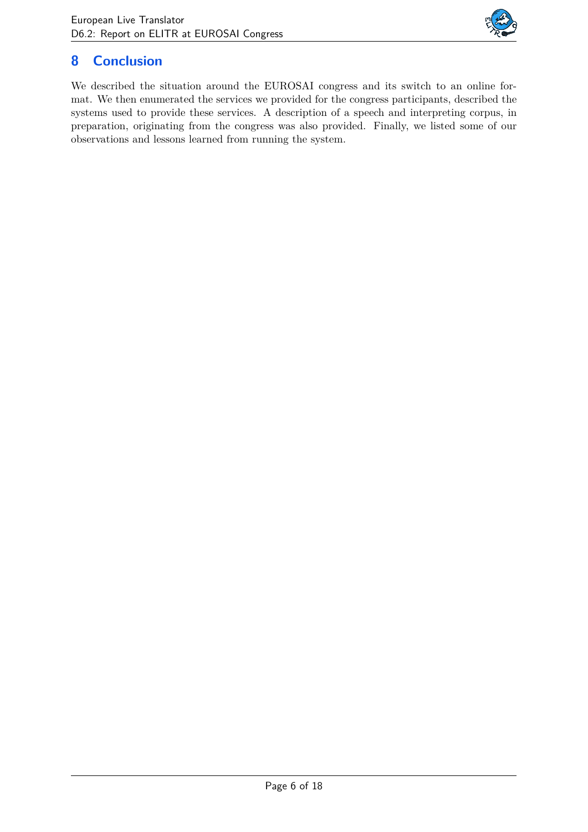

## **8 Conclusion**

We described the situation around the EUROSAI congress and its switch to an online format. We then enumerated the services we provided for the congress participants, described the systems used to provide these services. A description of a speech and interpreting corpus, in preparation, originating from the congress was also provided. Finally, we listed some of our observations and lessons learned from running the system.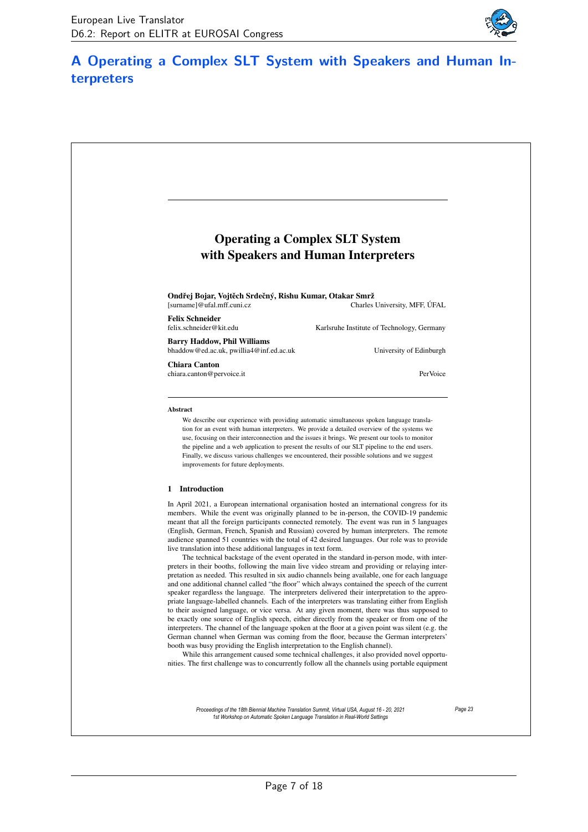

## <span id="page-6-0"></span>**A Operating a Complex SLT System with Speakers and Human Interpreters**

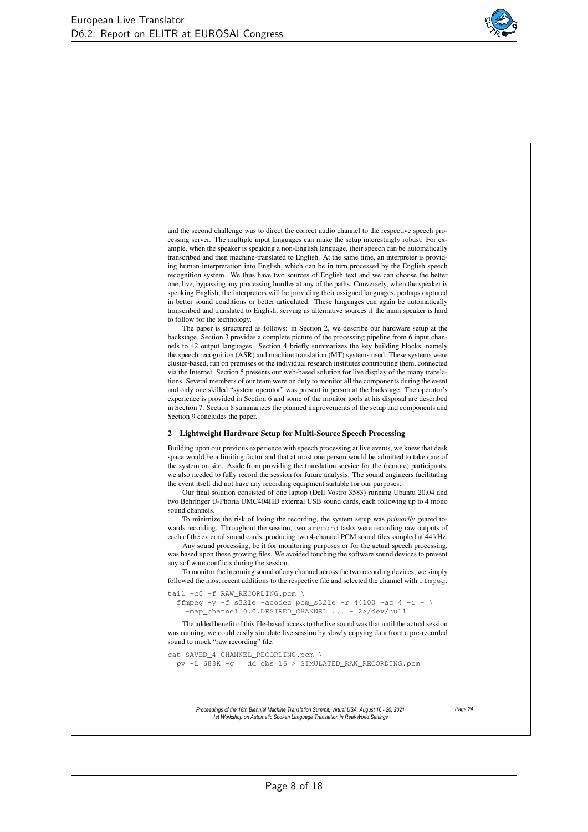

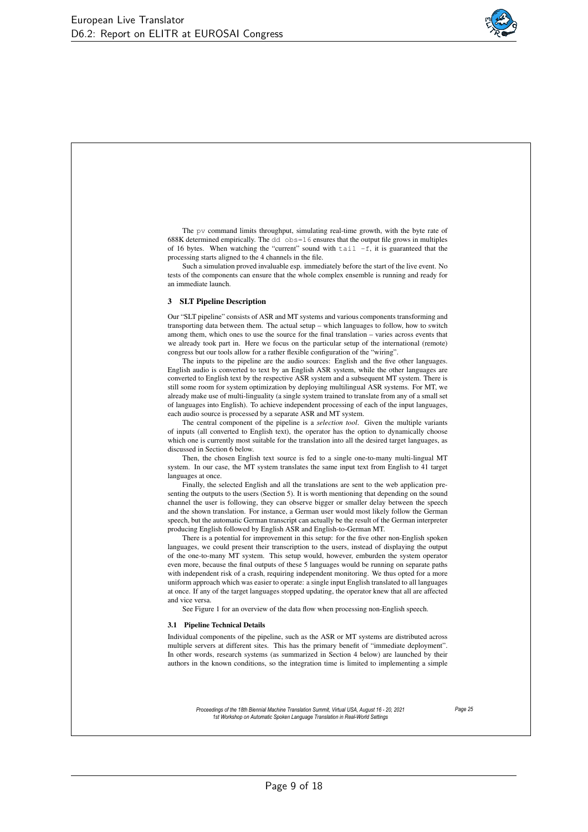

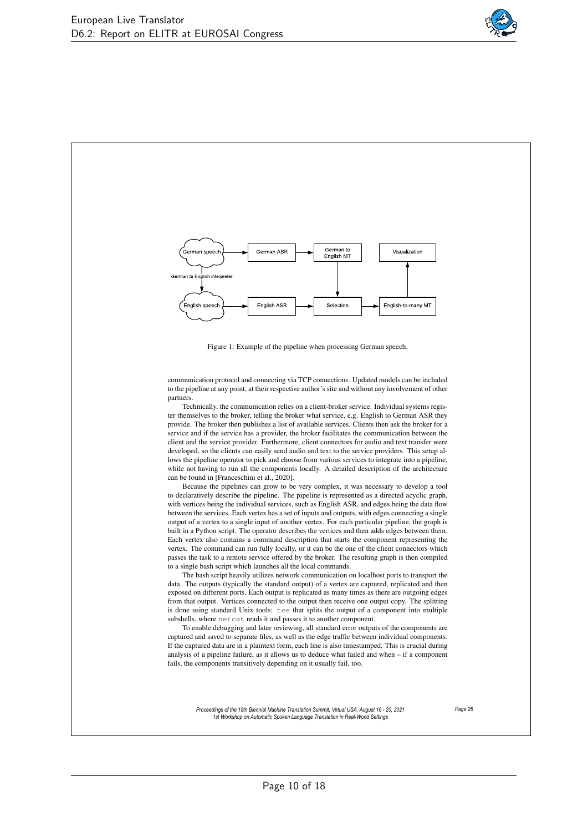

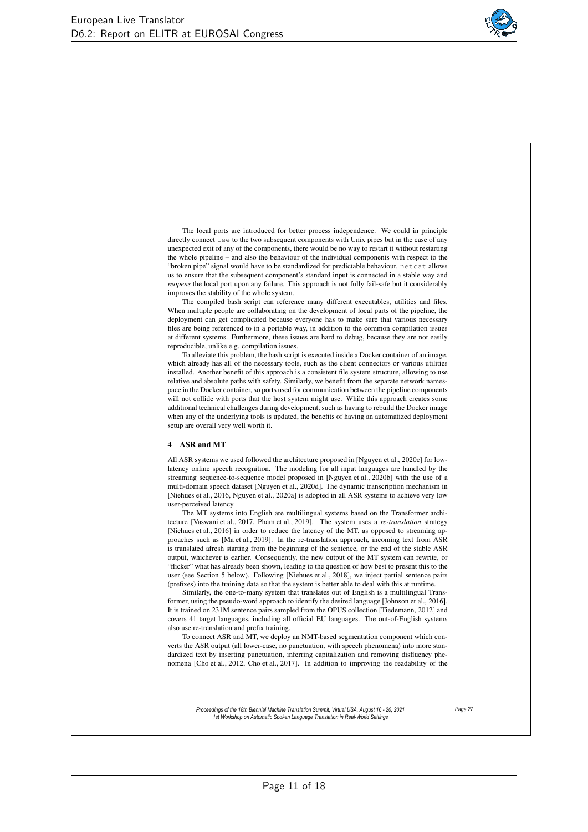

The local ports are introduced for better process independence. We could in principle directly connect tee to the two subsequent components with Unix pipes but in the case of any unexpected exit of any of the components, there would be no way to restart it without restarting the whole pipeline – and also the behaviour of the individual components with respect to the "broken pipe" signal would have to be standardized for predictable behaviour. netcat allows us to ensure that the subsequent component's standard input is connected in a stable way and *reopens* the local port upon any failure. This approach is not fully fail-safe but it considerably improves the stability of the whole system.

The compiled bash script can reference many different executables, utilities and files. When multiple people are collaborating on the development of local parts of the pipeline, the deployment can get complicated because everyone has to make sure that various necessary files are being referenced to in a portable way, in addition to the common compilation issues at different systems. Furthermore, these issues are hard to debug, because they are not easily reproducible, unlike e.g. compilation issues.

To alleviate this problem, the bash script is executed inside a Docker container of an image, which already has all of the necessary tools, such as the client connectors or various utilities installed. Another benefit of this approach is a consistent file system structure, allowing to use relative and absolute paths with safety. Similarly, we benefit from the separate network namespace in the Docker container, so ports used for communication between the pipeline components will not collide with ports that the host system might use. While this approach creates some additional technical challenges during development, such as having to rebuild the Docker image when any of the underlying tools is updated, the benefits of having an automatized deployment setup are overall very well worth it.

#### 4 ASR and MT

All ASR systems we used followed the architecture proposed in [Nguyen et al., 2020c] for lowlatency online speech recognition. The modeling for all input languages are handled by the streaming sequence-to-sequence model proposed in [Nguyen et al., 2020b] with the use of a multi-domain speech dataset [Nguyen et al., 2020d]. The dynamic transcription mechanism in [Niehues et al., 2016, Nguyen et al., 2020a] is adopted in all ASR systems to achieve very low user-perceived latency.

The MT systems into English are multilingual systems based on the Transformer architecture [Vaswani et al., 2017, Pham et al., 2019]. The system uses a *re-translation* strategy [Niehues et al., 2016] in order to reduce the latency of the MT, as opposed to streaming approaches such as [Ma et al., 2019]. In the re-translation approach, incoming text from ASR is translated afresh starting from the beginning of the sentence, or the end of the stable ASR output, whichever is earlier. Consequently, the new output of the MT system can rewrite, or "flicker" what has already been shown, leading to the question of how best to present this to the user (see Section 5 below). Following [Niehues et al., 2018], we inject partial sentence pairs (prefixes) into the training data so that the system is better able to deal with this at runtime.

Similarly, the one-to-many system that translates out of English is a multilingual Transformer, using the pseudo-word approach to identify the desired language [Johnson et al., 2016]. It is trained on 231M sentence pairs sampled from the OPUS collection [Tiedemann, 2012] and covers 41 target languages, including all official EU languages. The out-of-English systems also use re-translation and prefix training.

To connect ASR and MT, we deploy an NMT-based segmentation component which converts the ASR output (all lower-case, no punctuation, with speech phenomena) into more standardized text by inserting punctuation, inferring capitalization and removing disfluency phenomena [Cho et al., 2012, Cho et al., 2017]. In addition to improving the readability of the

> *Proceedings of the 18th Biennial Machine Translation Summit, Virtual USA, August 16 - 20, 2021 1st Workshop on Automatic Spoken Language Translation in Real-World Settings*

*Page 27*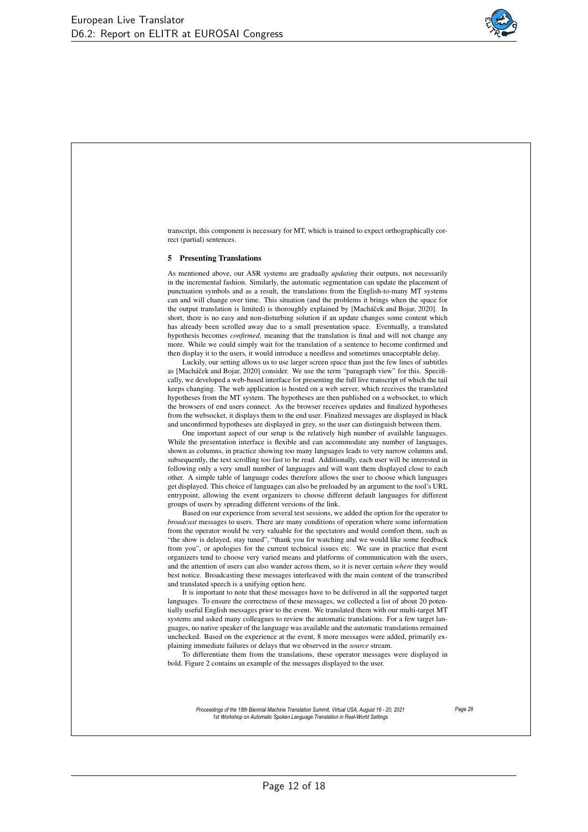

transcript, this component is necessary for MT, which is trained to expect orthographically correct (partial) sentences. 5 Presenting Translations As mentioned above, our ASR systems are gradually *updating* their outputs, not necessarily in the incremental fashion. Similarly, the automatic segmentation can update the placement of punctuation symbols and as a result, the translations from the English-to-many MT systems can and will change over time. This situation (and the problems it brings when the space for the output translation is limited) is thoroughly explained by [Macháček and Bojar, 2020]. In short, there is no easy and non-disturbing solution if an update changes some content which has already been scrolled away due to a small presentation space. Eventually, a translated hypothesis becomes *confirmed*, meaning that the translation is final and will not change any more. While we could simply wait for the translation of a sentence to become confirmed and then display it to the users, it would introduce a needless and sometimes unacceptable delay. Luckily, our setting allows us to use larger screen space than just the few lines of subtitles as [Macháček and Bojar, 2020] consider. We use the term "paragraph view" for this. Specifically, we developed a web-based interface for presenting the full live transcript of which the tail keeps changing. The web application is hosted on a web server, which receives the translated hypotheses from the MT system. The hypotheses are then published on a websocket, to which the browsers of end users connect. As the browser receives updates and finalized hypotheses from the websocket, it displays them to the end user. Finalized messages are displayed in black and unconfirmed hypotheses are displayed in grey, so the user can distinguish between them. One important aspect of our setup is the relatively high number of available languages. While the presentation interface is flexible and can accommodate any number of languages, shown as columns, in practice showing too many languages leads to very narrow columns and, subsequently, the text scrolling too fast to be read. Additionally, each user will be interested in following only a very small number of languages and will want them displayed close to each other. A simple table of language codes therefore allows the user to choose which languages get displayed. This choice of languages can also be preloaded by an argument to the tool's URL entrypoint, allowing the event organizers to choose different default languages for different groups of users by spreading different versions of the link. Based on our experience from several test sessions, we added the option for the operator to *broadcast* messages to users. There are many conditions of operation where some information from the operator would be very valuable for the spectators and would comfort them, such as "the show is delayed, stay tuned", "thank you for watching and we would like some feedback from you", or apologies for the current technical issues etc. We saw in practice that event organizers tend to choose very varied means and platforms of communication with the users, and the attention of users can also wander across them, so it is never certain *where* they would best notice. Broadcasting these messages interleaved with the main content of the transcribed and translated speech is a unifying option here. It is important to note that these messages have to be delivered in all the supported target languages. To ensure the correctness of these messages, we collected a list of about 20 potentially useful English messages prior to the event. We translated them with our multi-target MT systems and asked many colleagues to review the automatic translations. For a few target languages, no native speaker of the language was available and the automatic translations remained unchecked. Based on the experience at the event, 8 more messages were added, primarily explaining immediate failures or delays that we observed in the *source* stream. To differentiate them from the translations, these operator messages were displayed in bold. Figure 2 contains an example of the messages displayed to the user. *Proceedings of the 18th Biennial Machine Translation Summit, Virtual USA, August 16 - 20, 2021 1st Workshop on Automatic Spoken Language Translation in Real-World Settings Page 28*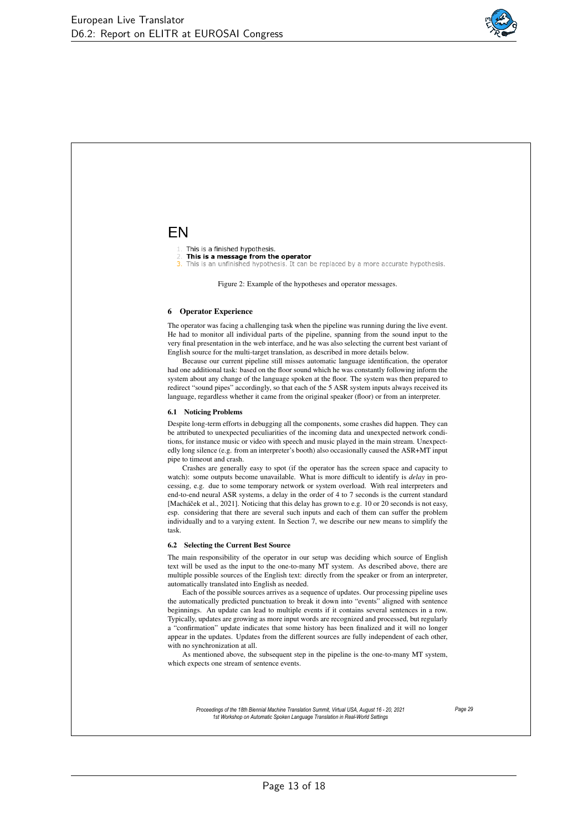

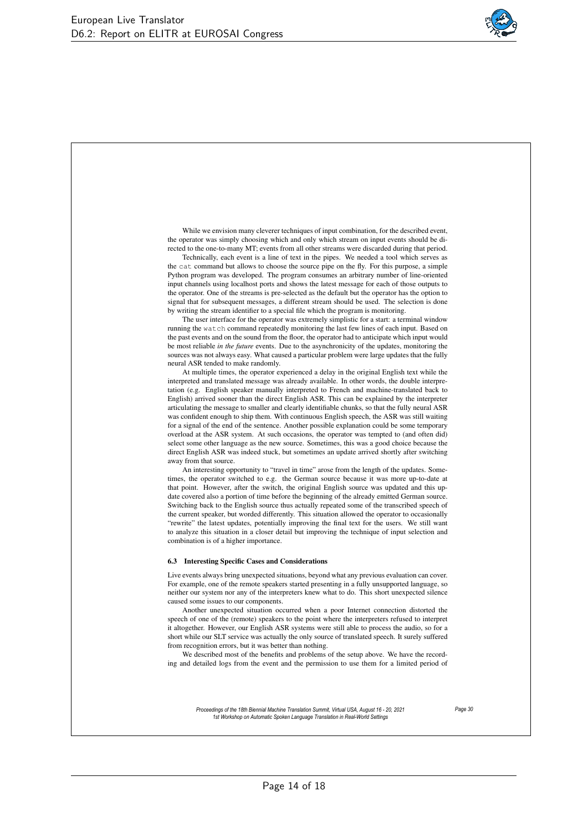

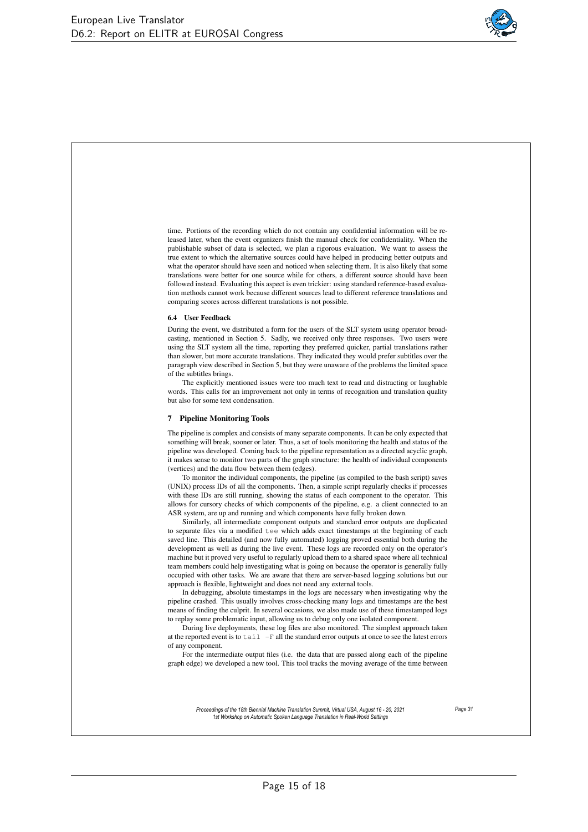

time. Portions of the recording which do not contain any confidential information will be released later, when the event organizers finish the manual check for confidentiality. When the publishable subset of data is selected, we plan a rigorous evaluation. We want to assess the true extent to which the alternative sources could have helped in producing better outputs and what the operator should have seen and noticed when selecting them. It is also likely that some translations were better for one source while for others, a different source should have been followed instead. Evaluating this aspect is even trickier: using standard reference-based evaluation methods cannot work because different sources lead to different reference translations and comparing scores across different translations is not possible.

#### 6.4 User Feedback

During the event, we distributed a form for the users of the SLT system using operator broadcasting, mentioned in Section 5. Sadly, we received only three responses. Two users were using the SLT system all the time, reporting they preferred quicker, partial translations rather than slower, but more accurate translations. They indicated they would prefer subtitles over the paragraph view described in Section 5, but they were unaware of the problems the limited space of the subtitles brings.

The explicitly mentioned issues were too much text to read and distracting or laughable words. This calls for an improvement not only in terms of recognition and translation quality but also for some text condensation.

#### 7 Pipeline Monitoring Tools

The pipeline is complex and consists of many separate components. It can be only expected that something will break, sooner or later. Thus, a set of tools monitoring the health and status of the pipeline was developed. Coming back to the pipeline representation as a directed acyclic graph, it makes sense to monitor two parts of the graph structure: the health of individual components (vertices) and the data flow between them (edges).

To monitor the individual components, the pipeline (as compiled to the bash script) saves (UNIX) process IDs of all the components. Then, a simple script regularly checks if processes with these IDs are still running, showing the status of each component to the operator. This allows for cursory checks of which components of the pipeline, e.g. a client connected to an ASR system, are up and running and which components have fully broken down.

Similarly, all intermediate component outputs and standard error outputs are duplicated to separate files via a modified tee which adds exact timestamps at the beginning of each saved line. This detailed (and now fully automated) logging proved essential both during the development as well as during the live event. These logs are recorded only on the operator's machine but it proved very useful to regularly upload them to a shared space where all technical team members could help investigating what is going on because the operator is generally fully occupied with other tasks. We are aware that there are server-based logging solutions but our approach is flexible, lightweight and does not need any external tools.

In debugging, absolute timestamps in the logs are necessary when investigating why the pipeline crashed. This usually involves cross-checking many logs and timestamps are the best means of finding the culprit. In several occasions, we also made use of these timestamped logs to replay some problematic input, allowing us to debug only one isolated component.

During live deployments, these log files are also monitored. The simplest approach taken at the reported event is to tail -F all the standard error outputs at once to see the latest errors of any component.

For the intermediate output files (i.e. the data that are passed along each of the pipeline graph edge) we developed a new tool. This tool tracks the moving average of the time between

> *Proceedings of the 18th Biennial Machine Translation Summit, Virtual USA, August 16 - 20, 2021 1st Workshop on Automatic Spoken Language Translation in Real-World Settings*

*Page 31*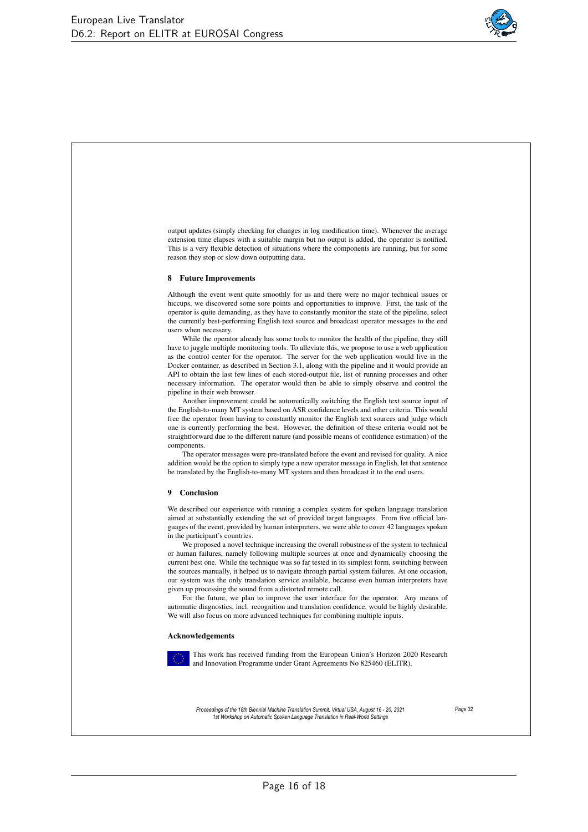

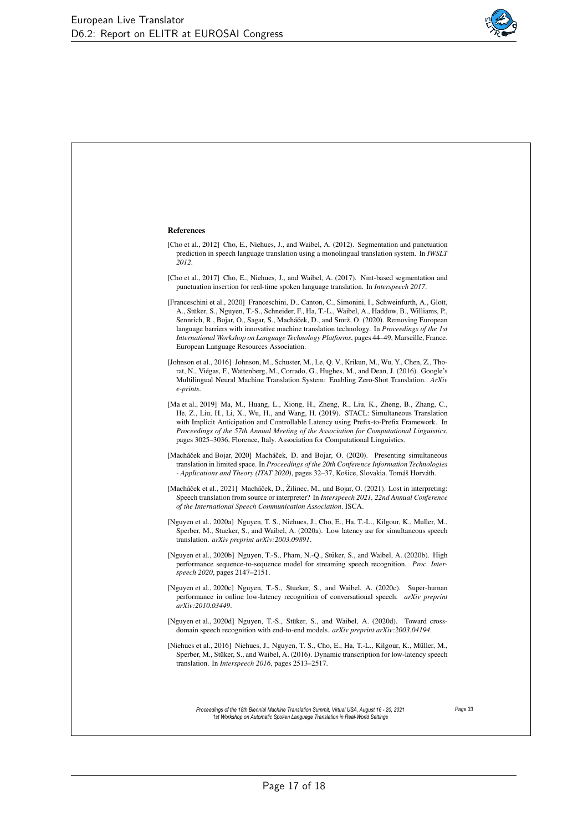

| <b>References</b>                                                                                                                                                                                                                                                                                                                                                                                                                                                                                                                            |         |
|----------------------------------------------------------------------------------------------------------------------------------------------------------------------------------------------------------------------------------------------------------------------------------------------------------------------------------------------------------------------------------------------------------------------------------------------------------------------------------------------------------------------------------------------|---------|
| [Cho et al., 2012] Cho, E., Niehues, J., and Waibel, A. (2012). Segmentation and punctuation<br>prediction in speech language translation using a monolingual translation system. In <i>IWSLT</i><br>2012.                                                                                                                                                                                                                                                                                                                                   |         |
| [Cho et al., 2017] Cho, E., Niehues, J., and Waibel, A. (2017). Nmt-based segmentation and<br>punctuation insertion for real-time spoken language translation. In <i>Interspeech 2017</i> .                                                                                                                                                                                                                                                                                                                                                  |         |
| [Franceschini et al., 2020] Franceschini, D., Canton, C., Simonini, I., Schweinfurth, A., Glott,<br>A., Stüker, S., Nguyen, T.-S., Schneider, F., Ha, T.-L., Waibel, A., Haddow, B., Williams, P.,<br>Sennrich, R., Bojar, O., Sagar, S., Macháček, D., and Smrž, O. (2020). Removing European<br>language barriers with innovative machine translation technology. In <i>Proceedings of the 1st</i><br>International Workshop on Language Technology Platforms, pages 44–49, Marseille, France.<br>European Language Resources Association. |         |
| [Johnson et al., 2016] Johnson, M., Schuster, M., Le, Q. V., Krikun, M., Wu, Y., Chen, Z., Tho-<br>rat, N., Viégas, F., Wattenberg, M., Corrado, G., Hughes, M., and Dean, J. (2016). Google's<br>Multilingual Neural Machine Translation System: Enabling Zero-Shot Translation. ArXiv<br>e-prints.                                                                                                                                                                                                                                         |         |
| [Ma et al., 2019] Ma, M., Huang, L., Xiong, H., Zheng, R., Liu, K., Zheng, B., Zhang, C.,<br>He, Z., Liu, H., Li, X., Wu, H., and Wang, H. (2019). STACL: Simultaneous Translation<br>with Implicit Anticipation and Controllable Latency using Prefix-to-Prefix Framework. In<br>Proceedings of the 57th Annual Meeting of the Association for Computational Linguistics,<br>pages 3025–3036, Florence, Italy. Association for Computational Linguistics.                                                                                   |         |
| [Macháček and Bojar, 2020] Macháček, D. and Bojar, O. (2020). Presenting simultaneous<br>translation in limited space. In Proceedings of the 20th Conference Information Technologies<br>- Applications and Theory (ITAT 2020), pages 32–37, Košice, Slovakia. Tomáš Horváth.                                                                                                                                                                                                                                                                |         |
| [Macháček et al., 2021] Macháček, D., Žilinec, M., and Bojar, O. (2021). Lost in interpreting:<br>Speech translation from source or interpreter? In <i>Interspeech 2021</i> , 22nd Annual Conference<br>of the International Speech Communication Association. ISCA.                                                                                                                                                                                                                                                                         |         |
| [Nguyen et al., 2020a] Nguyen, T. S., Niehues, J., Cho, E., Ha, T.-L., Kilgour, K., Muller, M.,<br>Sperber, M., Stueker, S., and Waibel, A. (2020a). Low latency asr for simultaneous speech<br>translation. arXiv preprint arXiv:2003.09891.                                                                                                                                                                                                                                                                                                |         |
| [Nguyen et al., 2020b] Nguyen, T.-S., Pham, N.-Q., Stüker, S., and Waibel, A. (2020b). High<br>performance sequence-to-sequence model for streaming speech recognition. <i>Proc. Inter-</i><br><i>speech 2020</i> , pages 2147–2151.                                                                                                                                                                                                                                                                                                         |         |
| [Nguyen et al., 2020c] Nguyen, T.-S., Stueker, S., and Waibel, A. (2020c). Super-human<br>performance in online low-latency recognition of conversational speech. arXiv preprint<br>arXiv:2010.03449.                                                                                                                                                                                                                                                                                                                                        |         |
| [Nguyen et al., 2020d] Nguyen, T.-S., Stüker, S., and Waibel, A. (2020d). Toward cross-<br>domain speech recognition with end-to-end models. arXiv preprint arXiv:2003.04194.                                                                                                                                                                                                                                                                                                                                                                |         |
| [Niehues et al., 2016] Niehues, J., Nguyen, T. S., Cho, E., Ha, T.-L., Kilgour, K., Müller, M.,<br>Sperber, M., Stüker, S., and Waibel, A. (2016). Dynamic transcription for low-latency speech<br>translation. In <i>Interspeech</i> 2016, pages 2513–2517.                                                                                                                                                                                                                                                                                 |         |
| Proceedings of the 18th Biennial Machine Translation Summit, Virtual USA, August 16 - 20, 2021<br>1st Workshop on Automatic Spoken Language Translation in Real-World Settings                                                                                                                                                                                                                                                                                                                                                               | Page 33 |